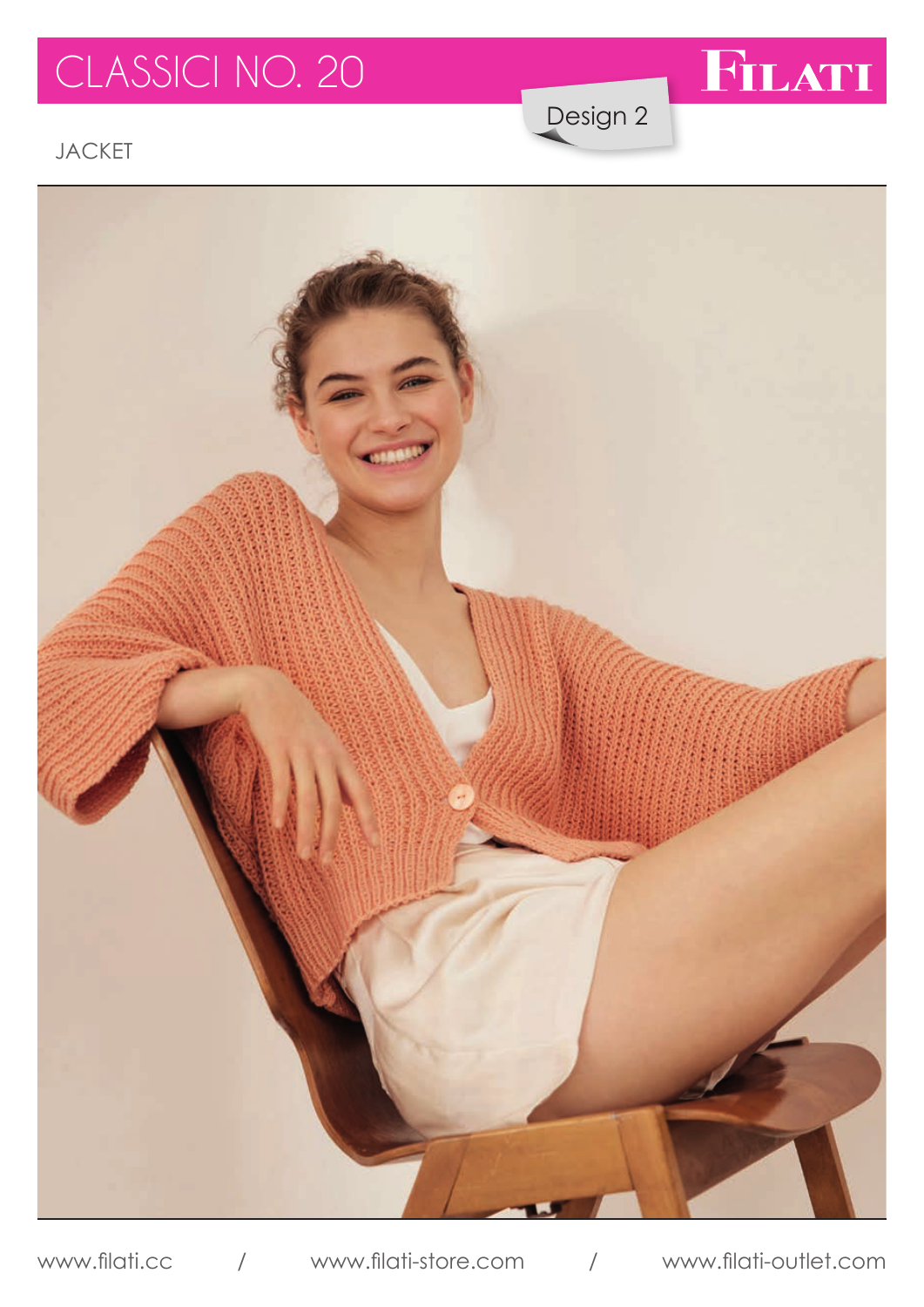# CLASSICI NO. 20



Design 2

JACKET



www.filati.cc / www.filati-store.com / www.filati-outlet.com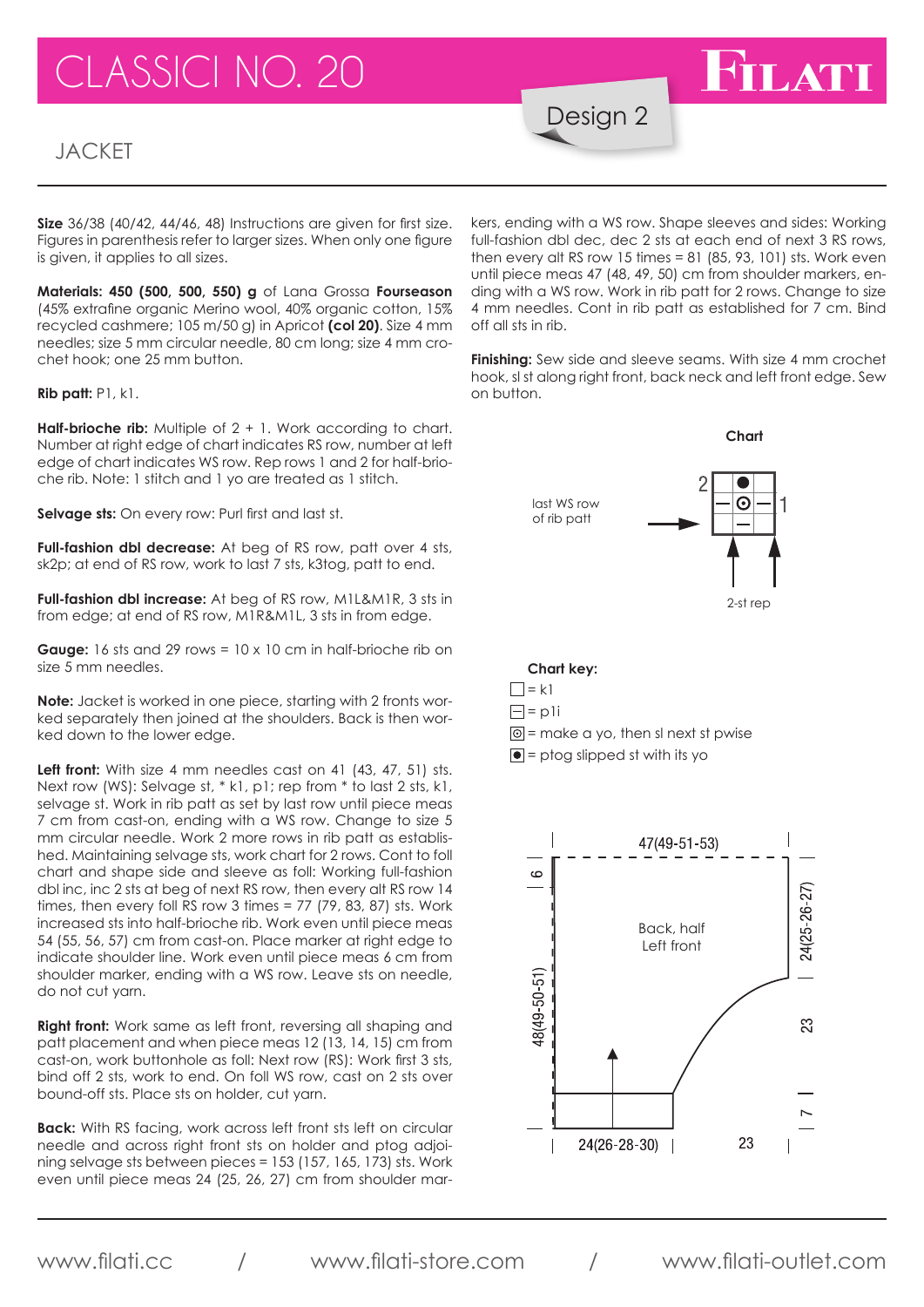# **ASSICI NO. 20**

### **JACKET**

Design 2

**Size** 36/38 (40/42, 44/46, 48) Instructions are given for first size. Figures in parenthesis refer to larger sizes. When only one figure is given, it applies to all sizes.

**Materials: 450 (500, 500, 550) g** of Lana Grossa **Fourseason** (45% extrafine organic Merino wool, 40% organic cotton, 15% recycled cashmere; 105 m/50 g) in Apricot **(col 20)**. Size 4 mm needles; size 5 mm circular needle, 80 cm long; size 4 mm crochet hook; one 25 mm button.

**Rib patt:** P1, k1.

**Half-brioche rib:** Multiple of 2 + 1. Work according to chart. Number at right edge of chart indicates RS row, number at left edge of chart indicates WS row. Rep rows 1 and 2 for half-brioche rib. Note: 1 stitch and 1 yo are treated as 1 stitch.

**Selvage sts:** On every row: Purl first and last st.

**Full-fashion dbl decrease:** At beg of RS row, patt over 4 sts, sk2p; at end of RS row, work to last 7 sts, k3tog, patt to end.

**Full-fashion dbl increase:** At beg of RS row, M1L&M1R, 3 sts in from edge; at end of RS row, M1R&M1L, 3 sts in from edge.

**Gauge:** 16 sts and 29 rows = 10 x 10 cm in half-brioche rib on size 5 mm needles.

**Note:** Jacket is worked in one piece, starting with 2 fronts worked separately then joined at the shoulders. Back is then worked down to the lower edge.

Left front: With size 4 mm needles cast on 41 (43, 47, 51) sts. Next row (WS): Selvage st, \* k1, p1; rep from \* to last 2 sts, k1, selvage st. Work in rib patt as set by last row until piece meas 7 cm from cast-on, ending with a WS row. Change to size 5 mm circular needle. Work 2 more rows in rib patt as established. Maintaining selvage sts, work chart for 2 rows. Cont to foll chart and shape side and sleeve as foll: Working full-fashion dbl inc, inc 2 sts at beg of next RS row, then every alt RS row 14 times, then every foll RS row 3 times = 77 (79, 83, 87) sts. Work increased sts into half-brioche rib. Work even until piece meas 54 (55, 56, 57) cm from cast-on. Place marker at right edge to indicate shoulder line. Work even until piece meas 6 cm from shoulder marker, ending with a WS row. Leave sts on needle, do not cut yarn.

**Right front:** Work same as left front, reversing all shaping and patt placement and when piece meas 12 (13, 14, 15) cm from cast-on, work buttonhole as foll: Next row (RS): Work first 3 sts, bind off 2 sts, work to end. On foll WS row, cast on 2 sts over bound-off sts. Place sts on holder, cut yarn.

**Back:** With RS facing, work across left front sts left on circular needle and across right front sts on holder and ptog adjoining selvage sts between pieces = 153 (157, 165, 173) sts. Work even until piece meas 24 (25, 26, 27) cm from shoulder mar-

kers, ending with a WS row. Shape sleeves and sides: Working full-fashion dbl dec, dec 2 sts at each end of next 3 RS rows, then every alt RS row 15 times  $= 81$  (85, 93, 101) sts. Work even until piece meas 47 (48, 49, 50) cm from shoulder markers, ending with a WS row. Work in rib patt for 2 rows. Change to size 4 mm needles. Cont in rib patt as established for 7 cm. Bind off all sts in rib.

**FILATI** 

**Finishing:** Sew side and sleeve seams. With size 4 mm crochet hook, sl st along right front, back neck and left front edge. Sew on button.



#### **Chart key:**

- $\Box$  = k1
- $\Box$  = pli
- $\boxed{\odot}$  = make a yo, then sl next st pwise
- $\bullet$  = ptog slipped st with its yo